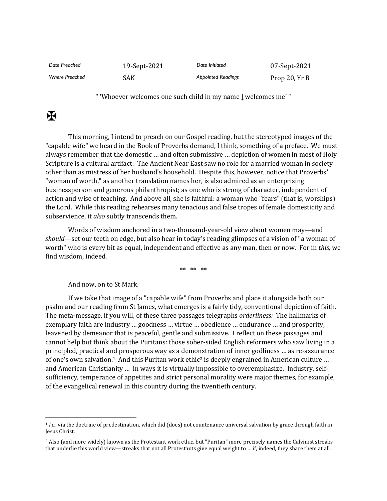| Date Preached  | 19-Sept-2021 | Date Initiated            | 07-Sept-2021  |
|----------------|--------------|---------------------------|---------------|
| Where Preached | SAK          | <b>Appointed Readings</b> | Prop 20, Yr B |

" 'Whoever welcomes one such child in my name **|** welcomes me' "

## $\mathbf K$

This morning, I intend to preach on our Gospel reading, but the stereotyped images of the "capable wife" we heard in the Book of Proverbs demand, I think, something of a preface. We must always remember that the domestic … and often submissive … depiction of women in most of Holy Scripture is a cultural artifact: The Ancient Near East saw no role for a married woman in society other than as mistress of her husband's household. Despite this, however, notice that Proverbs' "woman of worth," as another translation names her, is also admired as an enterprising businessperson and generous philanthropist; as one who is strong of character, independent of action and wise of teaching. And above all, she is faithful: a woman who "fears" (that is, worships) the Lord. While this reading rehearses many tenacious and false tropes of female domesticity and subservience, it *also* subtly transcends them.

Words of wisdom anchored in a two-thousand-year-old view about women may—and *should*—set our teeth on edge, but also hear in today's reading glimpses of a vision of "a woman of worth" who is every bit as equal, independent and effective as any man, then or now. For in *this,* we find wisdom, indeed.

\*\* \*\* \*\*

And now, on to St Mark.

If we take that image of a "capable wife" from Proverbs and place it alongside both our psalm and our reading from St James, what emerges is a fairly tidy, conventional depiction of faith. The meta-message, if you will, of these three passages telegraphs *orderliness:* The hallmarks of exemplary faith are industry … goodness … virtue … obedience … endurance … and prosperity, leavened by demeanor that is peaceful, gentle and submissive. I reflect on these passages and cannot help but think about the Puritans: those sober-sided English reformers who saw living in a principled, practical and prosperous way as a demonstration of inner godliness … as re-assurance of one's own salvation.<sup>1</sup> And this Puritan work ethic<sup>2</sup> is deeply engrained in American culture ... and American Christianity … in ways it is virtually impossible to overemphasize. Industry, selfsufficiency, temperance of appetites and strict personal morality were major themes, for example, of the evangelical renewal in this country during the twentieth century.

<sup>1</sup> *I.e.,* via the doctrine of predestination, which did (does) not countenance universal salvation by grace through faith in Jesus Christ.

<sup>&</sup>lt;sup>2</sup> Also (and more widely) known as the Protestant work ethic, but "Puritan" more precisely names the Calvinist streaks that underlie this world view—streaks that not all Protestants give equal weight to … if, indeed, they share them at all.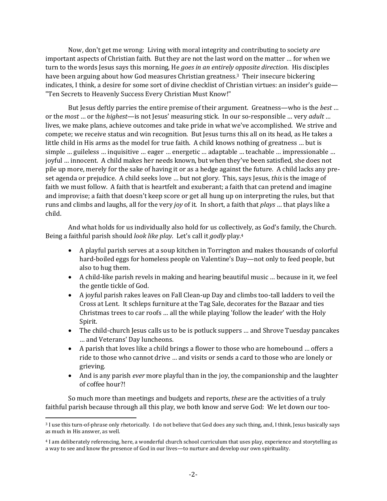Now, don't get me wrong: Living with moral integrity and contributing to society *are* important aspects of Christian faith. But they are not the last word on the matter … for when we turn to the words Jesus says this morning, He *goes in an entirely opposite direction*. His disciples have been arguing about how God measures Christian greatness. <sup>3</sup> Their insecure bickering indicates, I think, a desire for some sort of divine checklist of Christian virtues: an insider's guide— "Ten Secrets to Heavenly Success Every Christian Must Know!"

But Jesus deftly parries the entire premise of their argument. Greatness—who is the *best* … or the *most* … or the *highest*—is not Jesus' measuring stick. In our so-responsible … very *adult* … lives, we make plans, achieve outcomes and take pride in what we've accomplished. We strive and compete; we receive status and win recognition. But Jesus turns this all on its head, as He takes a little child in His arms as the model for true faith. A child knows nothing of greatness … but is simple … guileless … inquisitive … eager … energetic … adaptable … teachable … impressionable … joyful … innocent. A child makes her needs known, but when they've been satisfied, she does not pile up more, merely for the sake of having it or as a hedge against the future. A child lacks any preset agenda or prejudice. A child seeks love … but not glory. This, says Jesus, *this* is the image of faith we must follow. A faith that is heartfelt and exuberant; a faith that can pretend and imagine and improvise; a faith that doesn't keep score or get all hung up on interpreting the rules, but that runs and climbs and laughs, all for the very *joy* of it. In short, a faith that *plays* … that plays like a child.

And what holds for us individually also hold for us collectively, as God's family, the Church. Being a faithful parish should *look like play*. Let's call it *godly* play.<sup>4</sup>

- A playful parish serves at a soup kitchen in Torrington and makes thousands of colorful hard-boiled eggs for homeless people on Valentine's Day—not only to feed people, but also to hug them.
- A child-like parish revels in making and hearing beautiful music … because in it, we feel the gentle tickle of God.
- A joyful parish rakes leaves on Fall Clean-up Day and climbs too-tall ladders to veil the Cross at Lent. It schleps furniture at the Tag Sale, decorates for the Bazaar and ties Christmas trees to car roofs … all the while playing 'follow the leader' with the Holy Spirit.
- The child-church Jesus calls us to be is potluck suppers ... and Shrove Tuesday pancakes … and Veterans' Day luncheons.
- A parish that loves like a child brings a flower to those who are homebound … offers a ride to those who cannot drive … and visits or sends a card to those who are lonely or grieving.
- And is any parish *ever* more playful than in the joy, the companionship and the laughter of coffee hour?!

So much more than meetings and budgets and reports, *these* are the activities of a truly faithful parish because through all this play, we both know and serve God: We let down our too-

<sup>3</sup> I use this turn-of-phrase only rhetorically. I do not believe that God does any such thing, and, I think, Jesus basically says as much in His answer, as well.

<sup>4</sup> I am deliberately referencing, here, a wonderful church school curriculum that uses play, experience and storytelling as a way to see and know the presence of God in our lives—to nurture and develop our own spirituality.